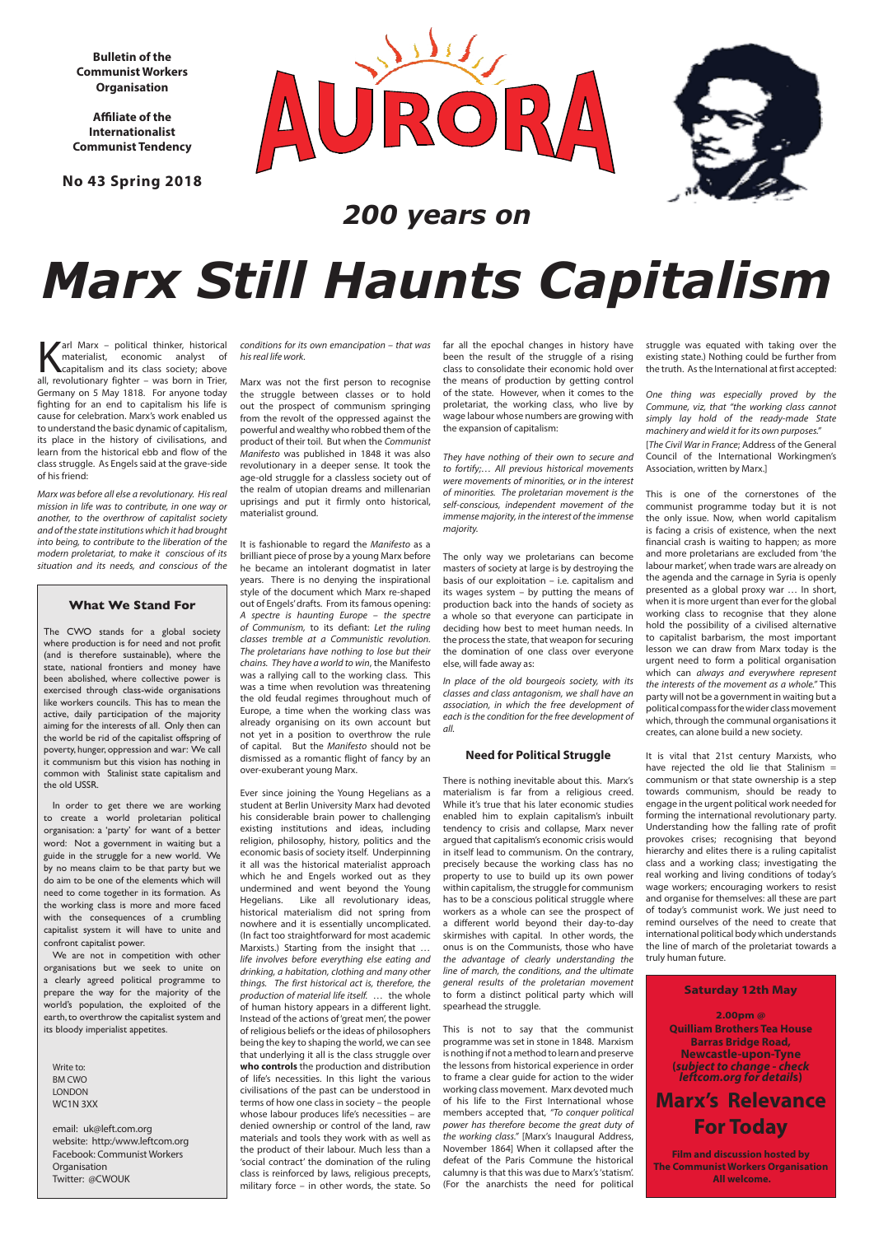**Bulletin of the Communist Workers Organisation**

**Affiliate of the Internationalist Communist Tendency** 

**No 43 Spring 2018**





## **What We Stand For**

The CWO stands for a global society where production is for need and not profit (and is therefore sustainable), where the state, national frontiers and money have been abolished, where collective power is exercised through class-wide organisations like workers councils. This has to mean the active, daily participation of the majority aiming for the interests of all. Only then can the world be rid of the capitalist offspring of poverty, hunger, oppression and war: We call it communism but this vision has nothing in common with Stalinist state capitalism and the old USSR.

In order to get there we are working to create a world proletarian political organisation: a 'party' for want of a better word: Not a government in waiting but a guide in the struggle for a new world. We by no means claim to be that party but we do aim to be one of the elements which will need to come together in its formation. As the working class is more and more faced with the consequences of a crumbling capitalist system it will have to unite and confront capitalist power. We are not in competition with other organisations but we seek to unite on a clearly agreed political programme to prepare the way for the majority of the world's population, the exploited of the earth, to overthrow the capitalist system and its bloody imperialist appetites.

Arl Marx – political thinker, historical<br>
materialist, economic analyst of<br>
capitalism and its class society; above<br>
all revolutionary fighter – was born in Trier materialist, economic analyst of capitalism and its class society; above all, revolutionary fighter – was born in Trier, Germany on 5 May 1818. For anyone today fighting for an end to capitalism his life is cause for celebration. Marx's work enabled us to understand the basic dynamic of capitalism, its place in the history of civilisations, and learn from the historical ebb and flow of the class struggle. As Engels said at the grave-side of his friend:

Write to: BM CWO LONDON WC1N 3XX

email: uk@left.com.org website: http:/www.leftcom.org Facebook: Communist Workers **Organisation** Twitter: @CWOUK

*200 years on*

# *Marx Still Haunts Capitalism*

**Saturday 12th May 2.00pm @ Quilliam Brothers Tea House Barras Bridge Road, Newcastle-upon-Tyne (***subject to change - check leftcom.org for detail***s)**

# **Marx's Relevance For Today**

**Film and discussion hosted by The Communist Workers Organisation All welcome.**

*Marx was before all else a revolutionary. His real mission in life was to contribute, in one way or another, to the overthrow of capitalist society and of the state institutions which it had brought into being, to contribute to the liberation of the modern proletariat, to make it conscious of its situation and its needs, and conscious of the* 

*conditions for its own emancipation – that was his real life work.*

Marx was not the first person to recognise the struggle between classes or to hold out the prospect of communism springing from the revolt of the oppressed against the powerful and wealthy who robbed them of the product of their toil. But when the *Communist Manifesto* was published in 1848 it was also revolutionary in a deeper sense. It took the age-old struggle for a classless society out of the realm of utopian dreams and millenarian uprisings and put it firmly onto historical, materialist ground.

It is fashionable to regard the *Manifesto* as a brilliant piece of prose by a young Marx before he became an intolerant dogmatist in later years. There is no denying the inspirational style of the document which Marx re-shaped out of Engels' drafts. From its famous opening: *A spectre is haunting Europe – the spectre of Communism,* to its defiant: *Let the ruling classes tremble at a Communistic revolution. The proletarians have nothing to lose but their chains. They have a world to win*, the Manifesto was a rallying call to the working class. This was a time when revolution was threatening the old feudal regimes throughout much of Europe, a time when the working class was already organising on its own account but not yet in a position to overthrow the rule of capital. But the *Manifesto* should not be dismissed as a romantic flight of fancy by an over-exuberant young Marx.

Ever since joining the Young Hegelians as a student at Berlin University Marx had devoted his considerable brain power to challenging existing institutions and ideas, including religion, philosophy, history, politics and the economic basis of society itself. Underpinning it all was the historical materialist approach which he and Engels worked out as they undermined and went beyond the Young Hegelians. Like all revolutionary ideas, historical materialism did not spring from nowhere and it is essentially uncomplicated. (In fact too straightforward for most academic Marxists.) Starting from the insight that *… life involves before everything else eating and drinking, a habitation, clothing and many other things. The first historical act is, therefore, the production of material life itself.* … the whole of human history appears in a different light. Instead of the actions of 'great men', the power of religious beliefs or the ideas of philosophers being the key to shaping the world, we can see that underlying it all is the class struggle over **who controls** the production and distribution of life's necessities. In this light the various civilisations of the past can be understood in terms of how one class in society – the people whose labour produces life's necessities – are denied ownership or control of the land, raw materials and tools they work with as well as the product of their labour. Much less than a 'social contract' the domination of the ruling class is reinforced by laws, religious precepts, military force – in other words, the state. So

far all the epochal changes in history have been the result of the struggle of a rising class to consolidate their economic hold over the means of production by getting control of the state. However, when it comes to the proletariat, the working class, who live by wage labour whose numbers are growing with the expansion of capitalism:

*They have nothing of their own to secure and to fortify;… All previous historical movements were movements of minorities, or in the interest of minorities. The proletarian movement is the self-conscious, independent movement of the immense majority, in the interest of the immense majority.*

The only way we proletarians can become masters of society at large is by destroying the basis of our exploitation – i.e. capitalism and its wages system – by putting the means of production back into the hands of society as a whole so that everyone can participate in deciding how best to meet human needs. In the process the state, that weapon for securing the domination of one class over everyone else, will fade away as:

*In place of the old bourgeois society, with its classes and class antagonism, we shall have an association, in which the free development of each is the condition for the free development of all.*

### **Need for Political Struggle**

There is nothing inevitable about this. Marx's materialism is far from a religious creed. While it's true that his later economic studies enabled him to explain capitalism's inbuilt tendency to crisis and collapse, Marx never argued that capitalism's economic crisis would in itself lead to communism. On the contrary, precisely because the working class has no property to use to build up its own power within capitalism, the struggle for communism has to be a conscious political struggle where workers as a whole can see the prospect of a different world beyond their day-to-day skirmishes with capital. In other words, the onus is on the Communists, those who have *the advantage of clearly understanding the line of march, the conditions, and the ultimate general results of the proletarian movement* to form a distinct political party which will spearhead the struggle.

This is not to say that the communist programme was set in stone in 1848. Marxism is nothing if not a method to learn and preserve the lessons from historical experience in order to frame a clear guide for action to the wider working class movement. Marx devoted much of his life to the First International whose members accepted that, *"To conquer political power has therefore become the great duty of the working class."* [Marx's Inaugural Address, November 1864] When it collapsed after the defeat of the Paris Commune the historical calumny is that this was due to Marx's 'statism'. (For the anarchists the need for political

struggle was equated with taking over the existing state.) Nothing could be further from the truth. As the International at first accepted:

*One thing was especially proved by the Commune, viz, that "the working class cannot simply lay hold of the ready-made State machinery and wield it for its own purposes."*

[*The Civil War in France*; Address of the General Council of the International Workingmen's Association, written by Marx.]

This is one of the cornerstones of the communist programme today but it is not the only issue. Now, when world capitalism is facing a crisis of existence, when the next financial crash is waiting to happen; as more and more proletarians are excluded from 'the labour market', when trade wars are already on the agenda and the carnage in Syria is openly presented as a global proxy war … In short, when it is more urgent than ever for the global working class to recognise that they alone hold the possibility of a civilised alternative to capitalist barbarism, the most important lesson we can draw from Marx today is the urgent need to form a political organisation which can *always and everywhere represent the interests of the movement as a whole."* This party will not be a government in waiting but a political compass for the wider class movement which, through the communal organisations it creates, can alone build a new society.

It is vital that 21st century Marxists, who have rejected the old lie that Stalinism  $=$ communism or that state ownership is a step towards communism, should be ready to engage in the urgent political work needed for forming the international revolutionary party. Understanding how the falling rate of profit provokes crises; recognising that beyond hierarchy and elites there is a ruling capitalist class and a working class; investigating the real working and living conditions of today's wage workers; encouraging workers to resist and organise for themselves: all these are part of today's communist work. We just need to remind ourselves of the need to create that international political body which understands the line of march of the proletariat towards a truly human future.